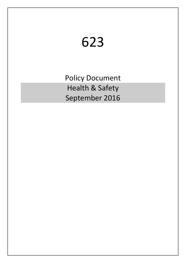# 623

Policy Document Health & Safety September 2016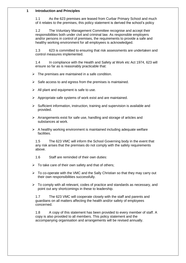### **1 Introduction and Principles**

1.1 As the 623 premises are leased from Curbar Primary School and much of it relates to the premises, this policy statement is derived the school's policy

1.2 The Voluntary Management Committee recognise and accept their responsibilities both under civil and criminal law. As responsible employers and/or persons in control of premises, the requirements to provide a safe and healthy working environment for all employees is acknowledged.

1.3 623 is committed to ensuring that risk assessments are undertaken and control measures implemented.

1.4 In compliance with the Health and Safety at Work etc Act 1974, 623 will ensure so far as is reasonably practicable that:

- $\triangleright$  The premises are maintained in a safe condition.
- $\triangleright$  Safe access to and egress from the premises is maintained.
- $\triangleright$  All plant and equipment is safe to use.
- $\triangleright$  Appropriate safe systems of work exist and are maintained.
- $\triangleright$  Sufficient information, instruction, training and supervision is available and provided.
- ➢ Arrangements exist for safe use, handling and storage of articles and substances at work.
- $\triangleright$  A healthy working environment is maintained including adequate welfare facilities.

1.5 The 623 VMC will inform the School Governing body in the event that any risk arises that the premises do not comply with the safety requirements above.

- 1.6 Staff are reminded of their own duties:
- $\triangleright$  To take care of their own safety and that of others;
- ➢ To co-operate with the VMC and the Sally Christian so that they may carry out their own responsibilities successfully.
- $\triangleright$  To comply with all relevant, codes of practice and standards as necessary, and point out any shortcomings in these to leadership.

1.7 The 623 VMC will cooperate closely with the staff and parents and guardians on all matters affecting the health and/or safety of employees concerned.

1.8 A copy of this statement has been provided to every member of staff. A copy is also provided to all members. This policy statement and the accompanying organisation and arrangements will be revised annually.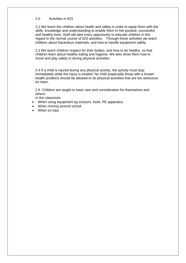## 2.0 Activities in 623

2.1 We teach the children about health and safety in order to equip them with the skills, knowledge and understanding to enable them to live positive, successful and healthy lives. Staff will take every opportunity to educate children in this regard in the normal course of 623 activities. Through these activities we teach children about hazardous materials, and how to handle equipment safely.

2.2 We teach children respect for their bodies, and how to be healthy so that children learn about healthy eating and hygiene. We also show them how to move and play safely in during physical activities.

2.4 If a child is injured during any physical activity, the activity must stop immediately while the injury is treated. No child (especially those with a known health problem) should be allowed to do physical activities that are too strenuous for them.

2.6 Children are taught to have care and consideration for themselves and others:

In the classroom

- When using equipment eg scissors, tools, PE apparatus
- When moving around school
- When on trips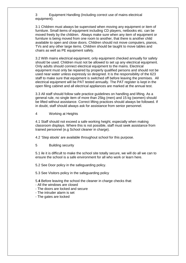3 Equipment Handling (Including correct use of mains electrical equipment).

3.1 Children must always be supervised when moving any equipment or item of furniture. Small items of equipment including CD players, netbooks etc. can be moved freely by the children. Always make sure when any item of equipment or furniture is being moved from one room to another, that there is another child available to open and close doors. Children should not move computers, pianos, TVs and any other large items. Children should be taught to move tables and chairs as well as PE equipment safely.

3.2 With mains electrical equipment, only equipment checked annually for safety should be used. Children must not be allowed to set up any electrical equipment. Only adults should connect electrical equipment to the mains. Electrical equipment must only be repaired by properly qualified persons and should not be used near water unless expressly so designed. It is the responsibility of the 623 staff to make sure that equipment is switched off before leaving the premises. All electrical equipment will be PAT tested annually. The PAT register is kept in the open filing cabinet and all electrical appliances are marked at the annual test.

3.3 All staff should follow safe practice guidelines on handling and lifting. As a general rule, no single item of more than 25kg (men) and 15 kg (women) should be lifted without assistance. Correct lifting practices should always be followed. If in doubt, staff should always ask for assistance from senior personnel.

4 Working at Heights

4.1 Staff should not exceed a safe working height, especially when making classroom displays. Where this is not possible, staff must seek assistance from trained personnel (e.g School cleaner in charge).

4.2 'Step stools' are available throughout school for this purpose.

5 Building security

5.1 ile it is difficult to make the school site totally secure, we will do all we can to ensure the school is a safe environment for all who work or learn here.

5.2 See Door policy in the safeguarding policy.

5.3 See Visitors policy in the safeguarding policy

5.**4** Before leaving the school the cleaner in charge checks that:

- All the windows are closed
- The doors are locked and secure
- The intruder alarm is set
- The gates are locked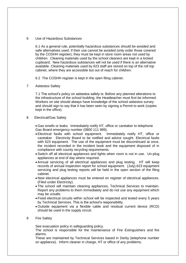#### 6 Use of Hazardous Substances

6.1 As a general rule, potentially hazardous substances should be avoided and safe alternatives used. If their use cannot be avoided (only order those covered by the COSHH register), they must be kept in store room areas not used by children. Cleaning materials used by the school cleaners are kept in a locked cupboard. New hazardous substances will not be used if there is an alternative available. Cleaning materials used by 623 staff are stored on top of the roll top cabinet, where they are accessible but out of reach for children.

6.2 The COSHH register is kept in the open filing cabinet.

7 Asbestos Safety

7.1 The school's policy on asbestos safety is: Before any planned alterations to the infrastructure of the school building, the Headteacher must first be informed. Workers on site should always have knowledge of the school asbestos survey and should sign to say that it has been seen by signing a Permit to work (copies kept in the office).

8 Electrical/Gas Safety

• Gas smells or leaks. Immediately notify HT, office or caretaker to telephone Gas Board emergency number (0800 111 999).

- Electrical faults with school equipment. Immediately notify HT, office or caretaker. Electricity Board to be notified and advice sought. Electrical faults with 623 equipment. The use of the equipment must be discontinued at once, the incident recorded in the incident book and the equipment disposed of in compliance with county recycling requirements.
- Switch off all electrical appliances and lights when room is not in use. Un-plug appliances at end of day where required.
- Annual servicing of all electrical appliances and plug testing. HT will keep records of annual inspection report for school equipment. (July).623 equipment servicing and plug testing reports will be held in the open section of the filing cabinet.
- New electrical appliances must be entered on register of electrical appliances. (Filed under Electricity).
- The school will maintain cleaning appliances, Technical Services to maintain. Report any problems to them immediately and do not use any equipment which may be unsafe.
- Fixed electrical circuits within school will be inspected and tested every 5 years by Technical Services. This is the school's responsibility.
- Outside equipment via a flexible cable and residual current device (RCD) should be used in the supply circuit.
- 9 Fire Safety

See evacuation policy in safeguarding policy.

The school is responsible for the maintenance of Fire Extinguishers and fire alarms.

These are maintained by Technical Services based in Derby (telephone number on appliance). Inform cleaner in charge, HT or office of any problems.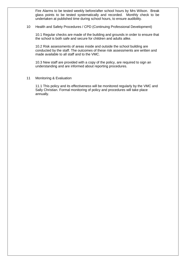Fire Alarms to be tested weekly before/after school hours by Mrs Wilson. Break glass points to be tested systematically and recorded. Monthly check to be undertaken at published time during school hours, to ensure audibility.

#### 10 Health and Safety Procedures / CPD (Continuing Professional Development)

10.1 Regular checks are made of the building and grounds in order to ensure that the school is both safe and secure for children and adults alike.

10.2 Risk assessments of areas inside and outside the school building are conducted by the staff. The outcomes of these risk assessments are written and made available to all staff and to the VMC.

10.3 New staff are provided with a copy of the policy, are required to sign an understanding and are informed about reporting procedures.

11 Monitoring & Evaluation

11.1 This policy and its effectiveness will be monitored regularly by the VMC and Sally Christian. Formal monitoring of policy and procedures will take place annually.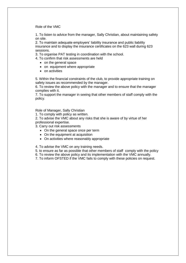Role of the VMC

1. To listen to advice from the manager, Sally Christian, about maintaining safety on site.

2. To maintain adequate employers' liability insurance and public liability insurance and to display the insurance certificates on the 623 wall during 623 sessions.

3. To organise PAT testing in coordination with the school.

- 4. To confirm that risk assessments are held
	- on the general space
	- on equipment where appropriate
	- on activities

5. Within the financial constraints of the club, to provide appropriate training on safety issues as recommended by the manager.

6. To review the above policy with the manager and to ensure that the manager complies with it.

7. To support the manager in seeing that other members of staff comply with the policy.

Role of Manager, Sally Christian

1. To comply with policy as written.

2. To advise the VMC about any risks that she is aware of by virtue of her professional expertise.

3. Carry out risk assessments

- On the general space once per term
- On the equipment at acquisition
- On activities where reasonably appropriate

4. To advise the VMC on any training needs.

5. to ensure as far as possible that other members of staff comply with the policy

6. To review the above policy and its implementation with the VMC annually.

7. To inform OFSTED if the VMC fails to comply with these policies on request.